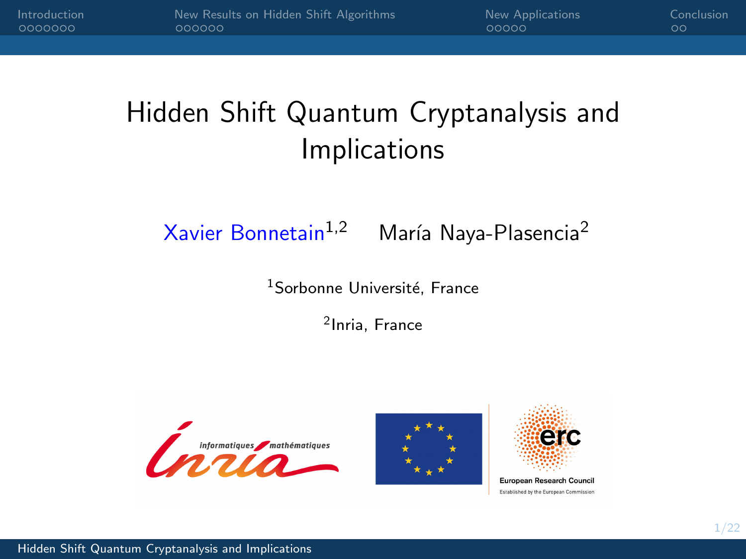# <span id="page-0-0"></span>Hidden Shift Quantum Cryptanalysis and Implications

# Xavier Bonnetain<sup>1,2</sup> María Naya-Plasencia<sup>2</sup>

<sup>1</sup>Sorbonne Université, France

2 Inria, France



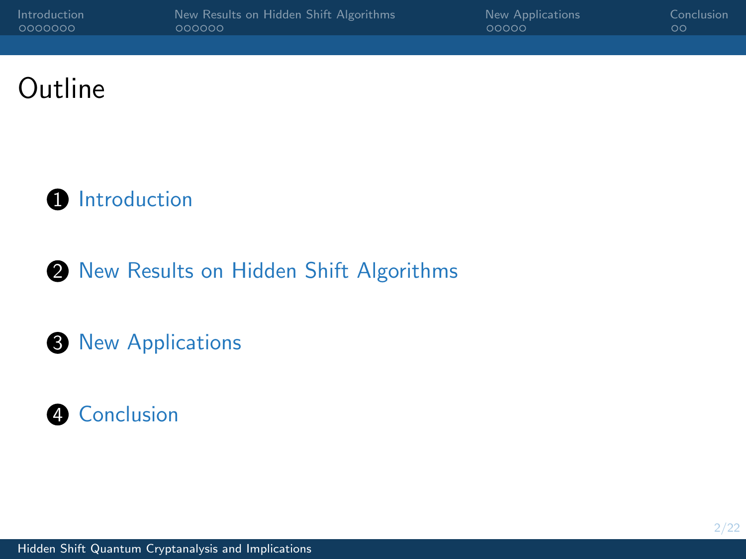| Introduction | New Results on Hidden Shift Algorithms | New Applications | Conclusion |
|--------------|----------------------------------------|------------------|------------|
|              | oooooo                                 | 00000            | ററ         |
|              |                                        |                  |            |

# Outline



### 2 [New Results on Hidden Shift Algorithms](#page-14-0)

#### **3** [New Applications](#page-23-0)

## **4** [Conclusion](#page-28-0)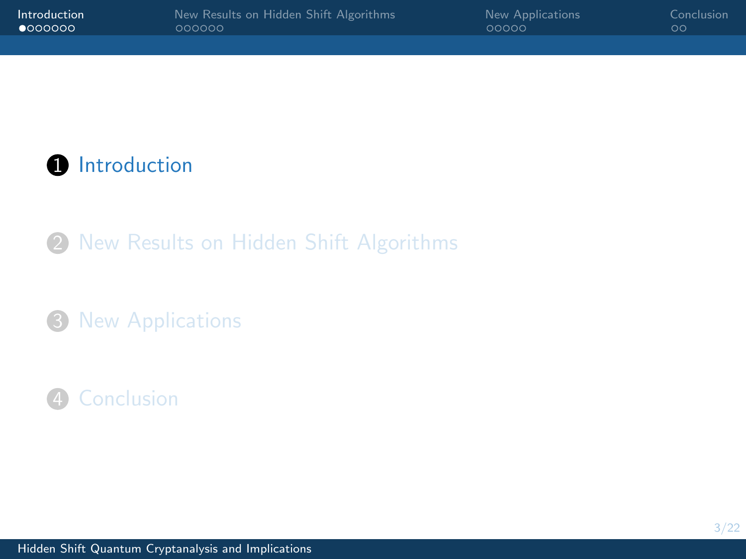<span id="page-2-0"></span>**1** [Introduction](#page-2-0)

2 [New Results on Hidden Shift Algorithms](#page-14-0)

<sup>3</sup> [New Applications](#page-23-0)

# 4 [Conclusion](#page-28-0)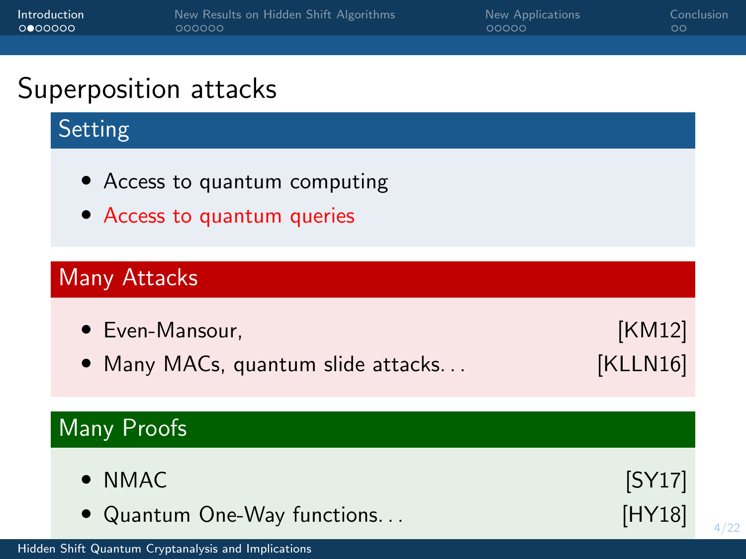| 000000 | <u>oooooo</u>                                                | <u>uuuu</u> | ◡◡                 |      |
|--------|--------------------------------------------------------------|-------------|--------------------|------|
|        | Superposition attacks                                        |             |                    |      |
|        | Setting                                                      |             |                    |      |
|        | • Access to quantum computing<br>• Access to quantum queries |             |                    |      |
|        | Many Attacks                                                 |             |                    |      |
|        | • Even-Mansour,<br>• Many MACs, quantum slide attacks        |             | [KM12]<br>[KLLN16] |      |
|        | Many Proofs                                                  |             |                    |      |
|        | $\bullet$ NMAC<br>• Quantum One-Way functions                |             | [SY17]<br>[HY18]   | 4/22 |

[Introduction](#page-2-0) [New Results on Hidden Shift Algorithms](#page-14-0) [New Applications](#page-23-0) [Conclusion](#page-28-0)

[Hidden Shift Quantum Cryptanalysis and Implications](#page-0-0)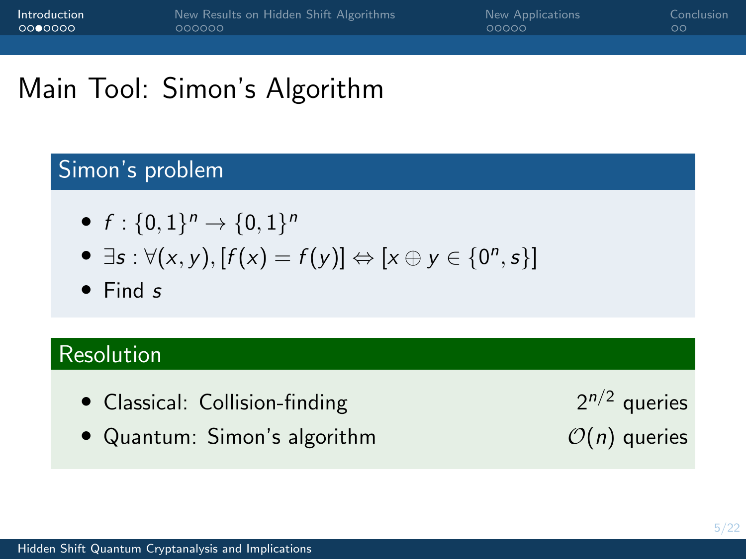# Main Tool: Simon's Algorithm

### Simon's problem

- $f: \{0,1\}^n \to \{0,1\}^n$
- $\exists s : \forall (x, y), [f(x) = f(y)] \Leftrightarrow [x \oplus y \in \{0^n, s\}]$
- Find s

## Resolution

- Classical: Collision-finding  $2^{n/2}$  queries
- Quantum: Simon's algorithm  $O(n)$  queries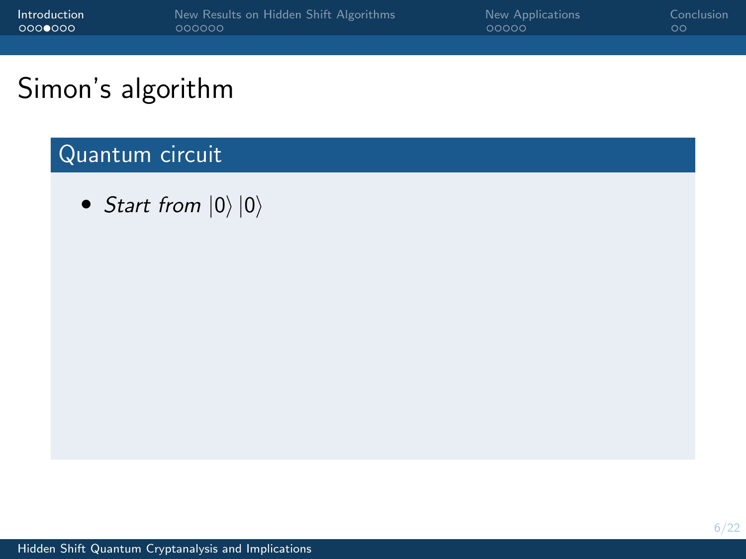| Introduction<br>00000000 | New Results on Hidden Shift Algorithms<br>000000 | New Applications<br>00000 | Conclusion<br>$\circ$ |
|--------------------------|--------------------------------------------------|---------------------------|-----------------------|
|                          |                                                  |                           |                       |
| Simon's algorithm        |                                                  |                           |                       |

# Simon's algorithm

# Quantum circuit

• Start from  $|0\rangle |0\rangle$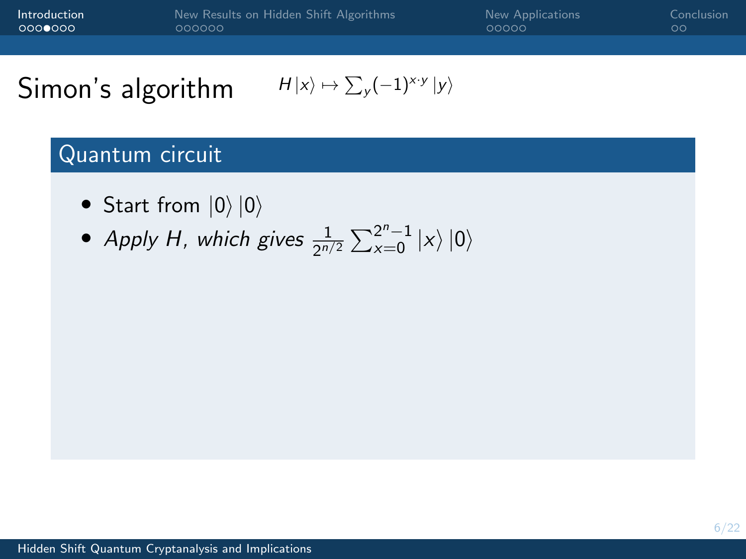| Introduction<br>00000000 | 000000 | New Results on Hidden Shift Algorithms                   | New Applications<br>00000 | Conclusion<br>$\circ$ |
|--------------------------|--------|----------------------------------------------------------|---------------------------|-----------------------|
|                          |        |                                                          |                           |                       |
| Simon's algorithm        |        | $H x\rangle \mapsto \sum_{v} (-1)^{x \cdot y}  y\rangle$ |                           |                       |

Quantum circuit

• Start from 
$$
|0\rangle |0\rangle
$$

• Apply H, which gives  $\frac{1}{2^{n/2}}\sum_{x=0}^{2^n-1}|x\rangle\ket{0}$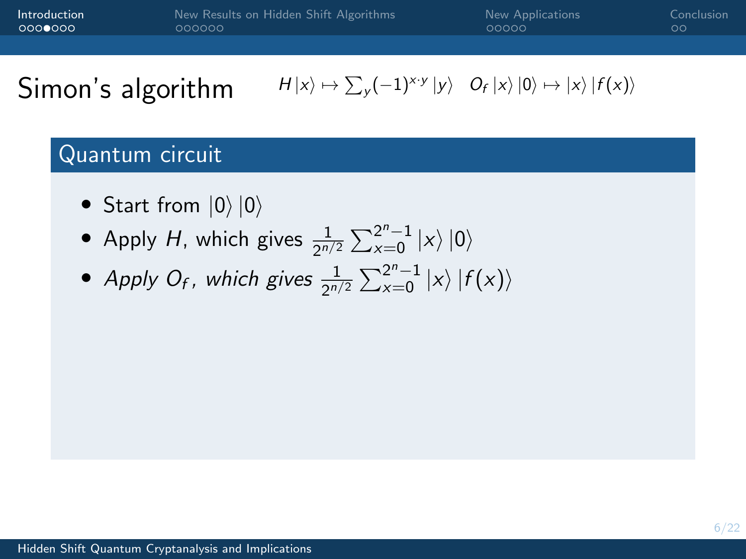| Introduction | New Results on Hidden Shift Algorithms | New Applications | Conclusion |
|--------------|----------------------------------------|------------------|------------|
| 0000000      | oooooo                                 | 00000            | ററ         |
|              |                                        |                  |            |

#### Quantum circuit

- Start from  $|0\rangle |0\rangle$
- Apply H, which gives  $\frac{1}{2^{n/2}}\sum_{x=0}^{2^n-1}|x\rangle|0\rangle$
- Apply O<sub>f</sub>, which gives  $\frac{1}{2^{n/2}}\sum_{x=0}^{2^n-1}|x\rangle |f(x)\rangle$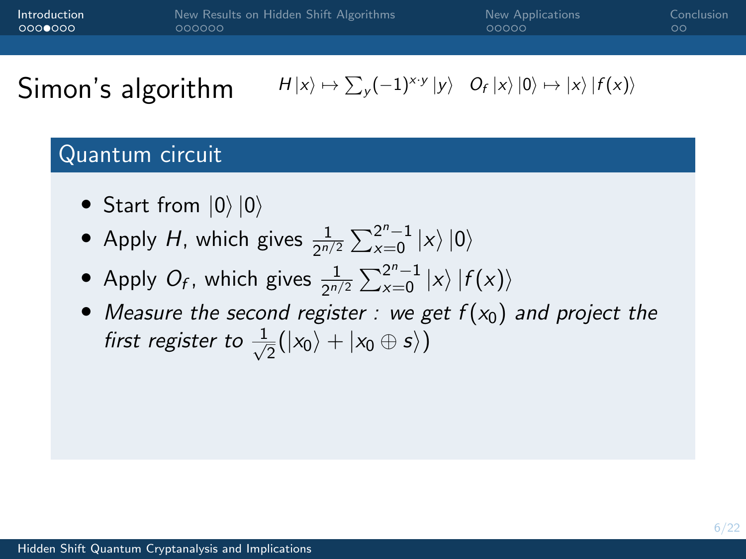| Introduction | New Results on Hidden Shift Algorithms | New Applications | Conclusion <sup>1</sup> |
|--------------|----------------------------------------|------------------|-------------------------|
| ∶റററ⊜റററ     | 000000                                 | 00000            | ററ                      |
|              |                                        |                  |                         |

#### Quantum circuit

- Start from  $|0\rangle |0\rangle$
- Apply H, which gives  $\frac{1}{2^{n/2}}\sum_{x=0}^{2^n-1}|x\rangle|0\rangle$
- Apply  $O_f$ , which gives  $\frac{1}{2^{n/2}}\sum_{x=0}^{2^n-1}|x\rangle |f(x)\rangle$
- Measure the second register : we get  $f(x_0)$  and project the first register to  $\frac{1}{\sqrt{2}}$  $\frac{1}{2}(|x_0\rangle + |x_0 \oplus s\rangle)$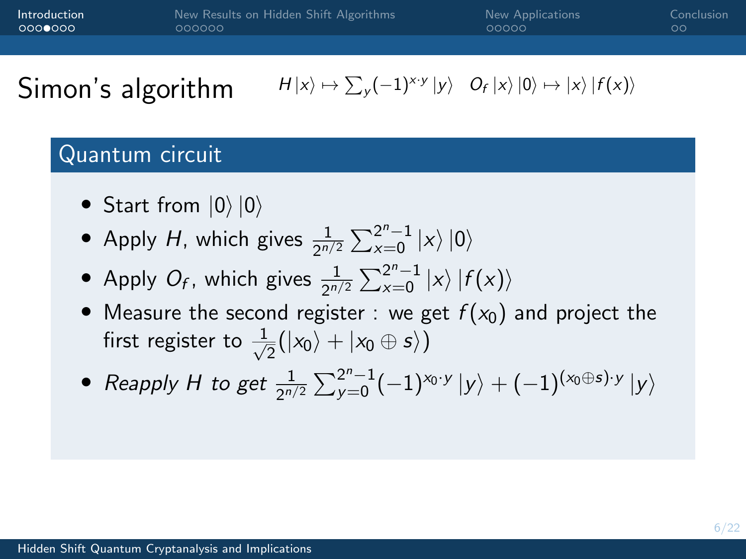| Introduction | New Results on Hidden Shift Algorithms | New Applications | Conclusion |
|--------------|----------------------------------------|------------------|------------|
| 0000000      | 000000                                 | 00000            | ററ         |
|              |                                        |                  |            |

#### Quantum circuit

- Start from  $|0\rangle |0\rangle$
- Apply H, which gives  $\frac{1}{2^{n/2}}\sum_{x=0}^{2^n-1}|x\rangle|0\rangle$
- Apply  $O_f$ , which gives  $\frac{1}{2^{n/2}}\sum_{x=0}^{2^n-1}|x\rangle |f(x)\rangle$
- Measure the second register : we get  $f(x_0)$  and project the first register to  $\frac{1}{\sqrt{2}}$  $\frac{1}{2}(|x_0\rangle + |x_0 \oplus s\rangle)$
- Reapply H to get  $\frac{1}{2^{n/2}}\sum_{y=0}^{2^n-1}(-1)^{x_0\cdot y}\ket{y}+(-1)^{(x_0\oplus s)\cdot y}\ket{y}$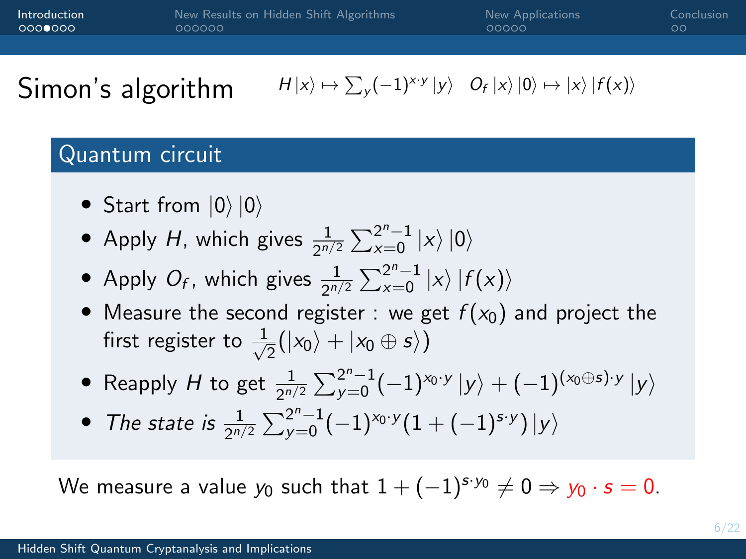| Introduction | New Results on Hidden Shift Algorithms | New Applications | Conclusion |
|--------------|----------------------------------------|------------------|------------|
| LOOOOOOO     | oooooo                                 | 00000            | ററ         |
|              |                                        |                  |            |

#### Quantum circuit

- Start from  $|0\rangle |0\rangle$
- Apply H, which gives  $\frac{1}{2^{n/2}}\sum_{x=0}^{2^n-1}|x\rangle|0\rangle$
- Apply  $O_f$ , which gives  $\frac{1}{2^{n/2}}\sum_{x=0}^{2^n-1}|x\rangle |f(x)\rangle$
- Measure the second register : we get  $f(x_0)$  and project the first register to  $\frac{1}{\sqrt{2}}$  $\frac{1}{2}(|x_0\rangle + |x_0 \oplus s\rangle)$
- Reapply H to get  $\frac{1}{2^{n/2}}\sum_{y=0}^{2^n-1}(-1)^{x_0 \cdot y}\ket{y}+(-1)^{(x_0 \oplus s) \cdot y}\ket{y}$
- The state is  $\frac{1}{2^{n/2}}\sum_{y=0}^{2^n-1}(-1)^{x_0 \cdot y}(1+(-1)^{s \cdot y})\ket{y}$

We measure a value  $y_0$  such that  $1 + (-1)^{s \cdot y_0} \neq 0 \Rightarrow y_0 \cdot s = 0$ .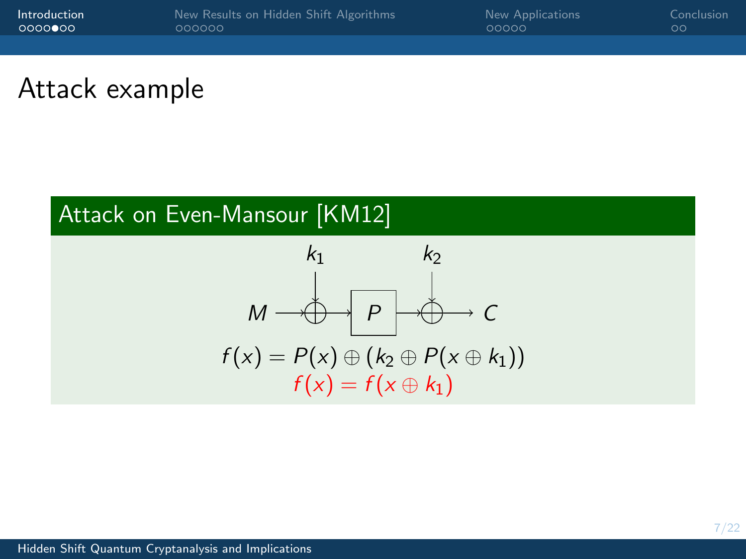| Introduction | New Results on Hidden Shift Algorithms | New Applications | Conclusion |
|--------------|----------------------------------------|------------------|------------|
| 0000000      | 000000                                 | 00000            | ററ         |
|              |                                        |                  |            |

# Attack example

# Attack on Even-Mansour [KM12]

$$
k_1 \qquad k_2
$$
\n
$$
M \longrightarrow B \qquad C
$$
\n
$$
f(x) = P(x) \oplus (k_2 \oplus P(x \oplus k_1))
$$
\n
$$
f(x) = f(x \oplus k_1)
$$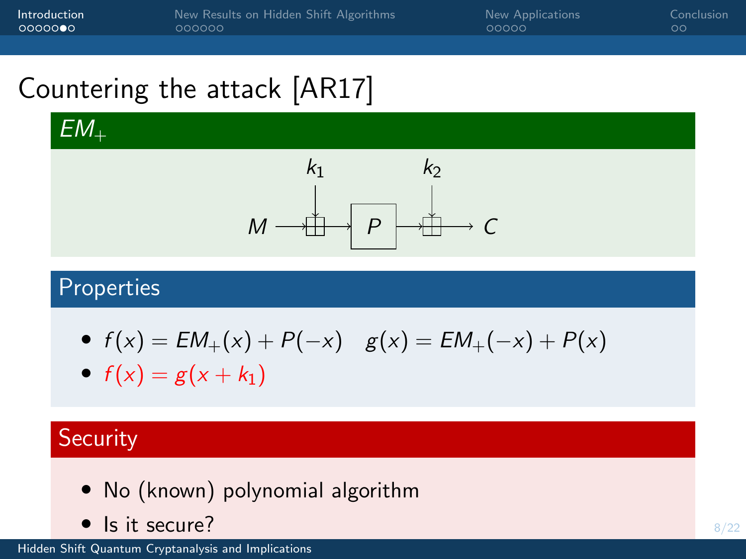[Introduction](#page-2-0) [New Results on Hidden Shift Algorithms](#page-14-0) [New Applications](#page-23-0) [Conclusion](#page-28-0)

# Countering the attack [AR17]

 $EM_{+}$ 



### Properties

• 
$$
f(x) = EM_+(x) + P(-x)
$$
  $g(x) = EM_+(-x) + P(x)$ 

•  $f(x) = g(x + k_1)$ 

### **Security**

- No (known) polynomial algorithm
- Is it secure?

[Hidden Shift Quantum Cryptanalysis and Implications](#page-0-0)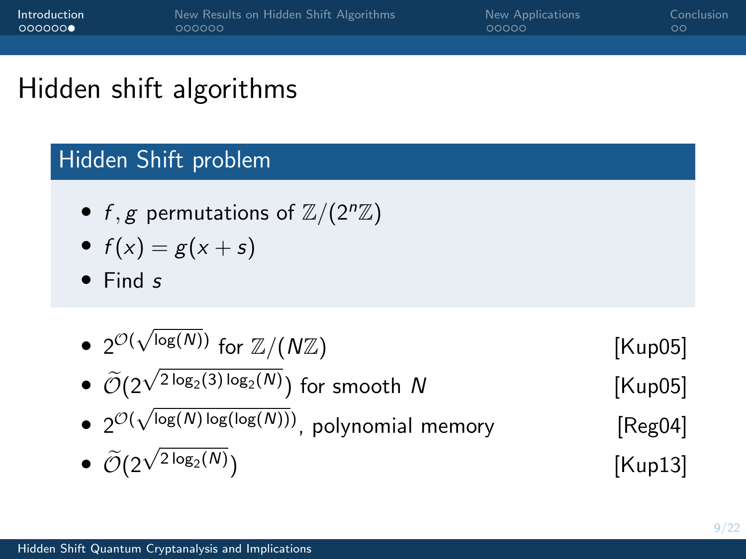# Hidden shift algorithms

### Hidden Shift problem

- f, g permutations of  $\mathbb{Z}/(2^n\mathbb{Z})$
- $f(x) = g(x + s)$
- Find s

\n- \n
$$
2^{\mathcal{O}(\sqrt{\log(N)})} \text{ for } \mathbb{Z}/(N\mathbb{Z})
$$
\n
\n- \n
$$
\widetilde{\mathcal{O}}(2^{\sqrt{2\log_2(3)\log_2(N)}}) \text{ for smooth } N
$$
\n
\n- \n
$$
2^{\mathcal{O}(\sqrt{\log(N)\log(\log(N))})},
$$
 polynomial memory\n 
$$
\widetilde{\mathcal{O}}(2^{\sqrt{2\log_2(N)}})
$$
\n
\n- \n
$$
\widetilde{\mathcal{O}}(2^{\sqrt{2\log_2(N)}})
$$
\n
\n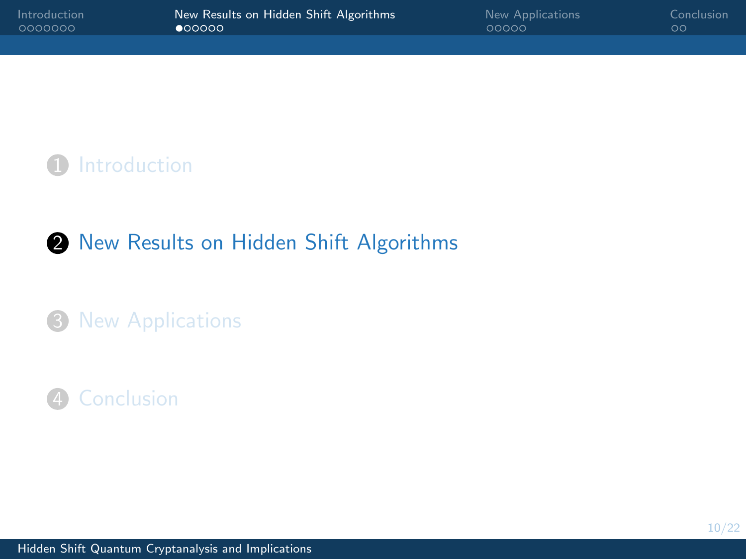<span id="page-14-0"></span>

| Introduction | New Results on Hidden Shift Algorithms | New Applications | Conclusion |
|--------------|----------------------------------------|------------------|------------|
| - 0000000    | 00000                                  | 00000            | ററ         |
|              |                                        |                  |            |

**1** [Introduction](#page-2-0)

### 2 [New Results on Hidden Shift Algorithms](#page-14-0)

#### <sup>3</sup> [New Applications](#page-23-0)

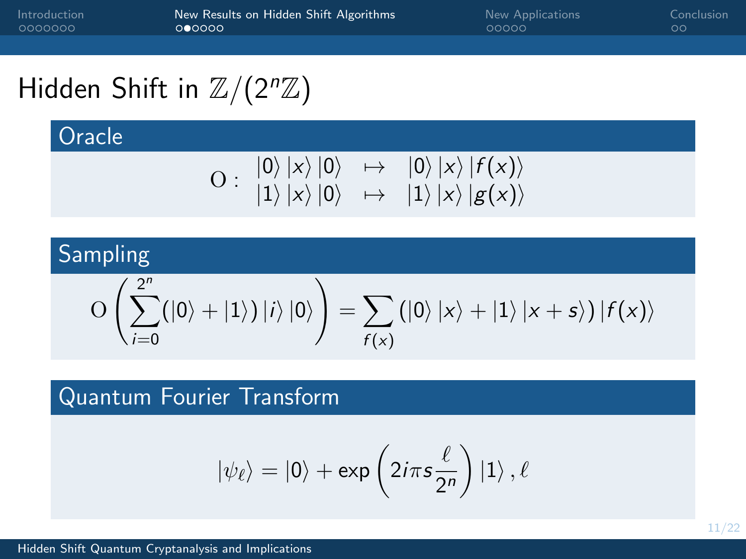[Introduction](#page-2-0) [New Results on Hidden Shift Algorithms](#page-14-0) [New Applications](#page-23-0) [Conclusion](#page-28-0)

# Hidden Shift in  $\mathbb{Z}/(2^n\mathbb{Z})$

**Oracle** 

$$
\mathrm{O}:\begin{array}{ccc} \left|0\right\rangle\left|x\right\rangle\left|0\right\rangle&\mapsto&\left|0\right\rangle\left|x\right\rangle\left|f(x)\right\rangle\\ \left|1\right\rangle\left|x\right\rangle\left|0\right\rangle&\mapsto&\left|1\right\rangle\left|x\right\rangle\left|g(x)\right\rangle\end{array}
$$

# Sampling

$$
\mathrm{O}\left(\sum_{i=0}^{2^n} (|0\rangle + |1\rangle) \, |i\rangle \, |0\rangle\right) = \sum_{f(x)} (|0\rangle \, |x\rangle + |1\rangle \, |x+s\rangle) \, |f(x)\rangle
$$

### Quantum Fourier Transform

$$
\ket{\psi_\ell} = \ket{0} + \exp\left(2i\pi s \frac{\ell}{2^n}\right) \ket{1}, \ell
$$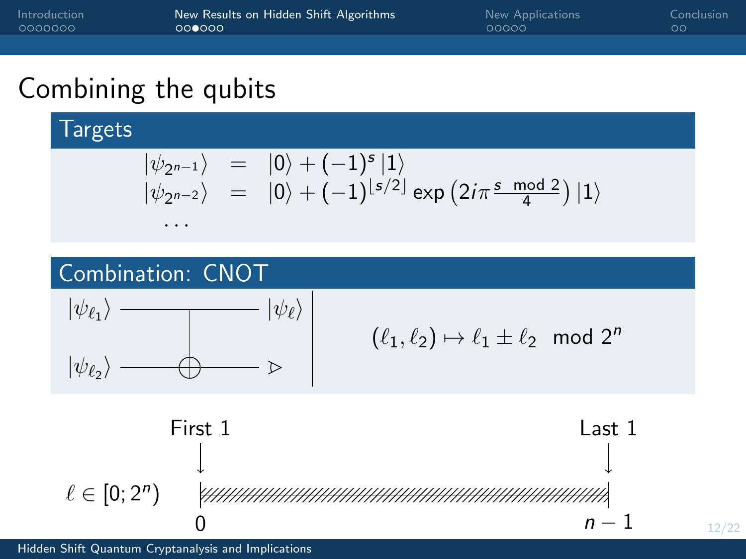| Introduction | New Results on Hidden Shift Algorithms | New Applications | Conclusion |
|--------------|----------------------------------------|------------------|------------|
| - 0000000    | 000000                                 | 00000            | ററ         |
|              |                                        |                  |            |

**Targets** 

$$
\begin{array}{rcl} |\psi_{2^{n-1}}\rangle&=&|0\rangle+(-1)^s\,|1\rangle\\ |\psi_{2^{n-2}}\rangle&=&|0\rangle+(-1)^{\lfloor s/2\rfloor}\exp\left(2i\pi\frac{s\,\bmod\,2}{4}\right)|1\rangle\end{array}
$$

## Combination: CNOT

. . .



$$
(\ell_1,\ell_2)\mapsto \ell_1\pm \ell_2\!\!\mod 2^n
$$

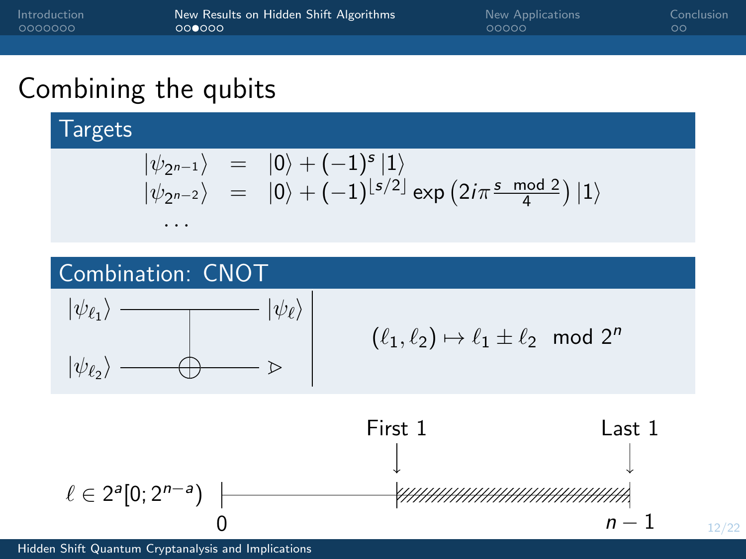| Introduction | New Results on Hidden Shift Algorithms | New Applications | Conclusion |
|--------------|----------------------------------------|------------------|------------|
|              | 000000                                 | 00000            | ററ         |
|              |                                        |                  |            |

**Targets** 

$$
\begin{array}{rcl} |\psi_{2^{n-1}}\rangle&=&|0\rangle+(-1)^s\,|1\rangle\\ |\psi_{2^{n-2}}\rangle&=&|0\rangle+(-1)^{\lfloor s/2\rfloor}\exp\left(2i\pi\frac{s\,\bmod\,2}{4}\right)|1\rangle\end{array}
$$

# Combination: CNOT

. . .



$$
(\ell_1,\ell_2)\mapsto \ell_1\pm \ell_2\!\!\mod 2^n
$$

12/22

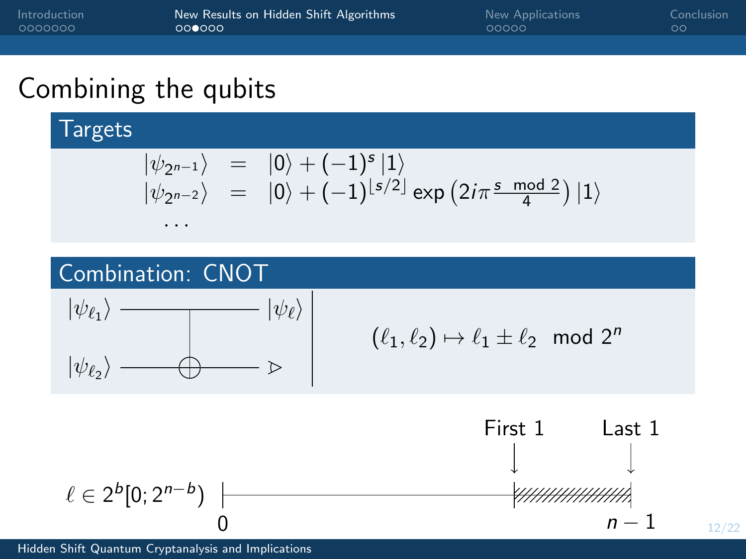| Introduction | New Results on Hidden Shift Algorithms | New Applications | Conclusion |
|--------------|----------------------------------------|------------------|------------|
| - 0000000    | 000000                                 | 00000            | ററ         |
|              |                                        |                  |            |

Targets

$$
\begin{array}{rcl} |\psi_{2^{n-1}}\rangle&=&|0\rangle+(-1)^s\,|1\rangle\\ |\psi_{2^{n-2}}\rangle&=&|0\rangle+(-1)^{\lfloor s/2\rfloor}\exp\left(2i\pi\frac{s\,\bmod\,2}{4}\right)|1\rangle\end{array}
$$

# Combination: CNOT

. . .



$$
(\ell_1,\ell_2)\mapsto \ell_1\pm \ell_2\!\!\mod 2^n
$$

12/22

0 n − 1 Last 1 First 1 ` ∈ 2 b [0; 2n−<sup>b</sup> )

[Hidden Shift Quantum Cryptanalysis and Implications](#page-0-0)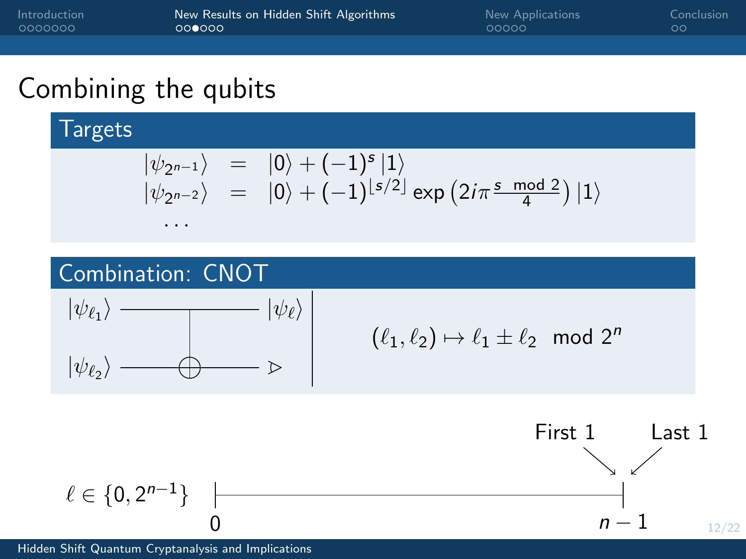| Introduction | New Results on Hidden Shift Algorithms | New Applications | Conclusion |
|--------------|----------------------------------------|------------------|------------|
| - 0000000    | 000000                                 | 00000            | ററ         |
|              |                                        |                  |            |

**Targets** 

$$
\begin{array}{rcl} |\psi_{2^{n-1}}\rangle&=&|0\rangle+(-1)^s\,|1\rangle\\ |\psi_{2^{n-2}}\rangle&=&|0\rangle+(-1)^{\lfloor s/2\rfloor}\exp\left(2i\pi\frac{s\,\bmod\,2}{4}\right)|1\rangle\end{array}
$$

# Combination: CNOT

. . .



$$
(\ell_1,\ell_2)\mapsto \ell_1\pm \ell_2\!\!\mod 2^n
$$



[Hidden Shift Quantum Cryptanalysis and Implications](#page-0-0)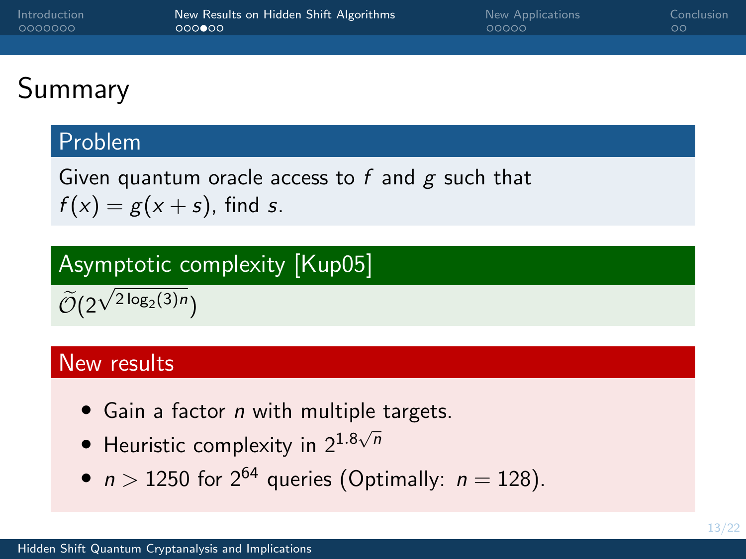| Introduction | New Results on Hidden Shift Algorithms | New Applications | Conclusion |
|--------------|----------------------------------------|------------------|------------|
| - 0000000    | 000000                                 | 00000            | ററ         |
|              |                                        |                  |            |

# Summary

### Problem

Given quantum oracle access to  $f$  and  $g$  such that  $f(x) = g(x + s)$ , find s.

# Asymptotic complexity [Kup05]

 $\mathcal{O}(2)$ √  $2\log_2(3)n$ 

#### New results

- Gain a factor *n* with multiple targets.
- Heuristic complexity in  $2^{1.8\sqrt{n}}$
- $n > 1250$  for  $2^{64}$  queries (Optimally:  $n = 128$ ).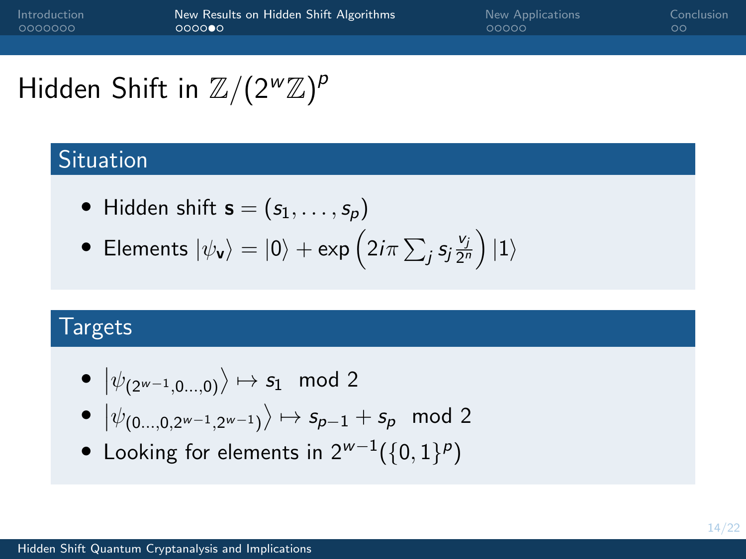# Hidden Shift in  $\mathbb{Z}/(2^w\mathbb{Z})^p$

## Situation

\n- Hidden shift 
$$
\mathbf{s} = (s_1, \ldots, s_p)
$$
\n

• Elements 
$$
|\psi_{\mathbf{v}}\rangle = |0\rangle + \exp\left(2i\pi \sum_j s_j \frac{v_j}{2^n}\right)|1\rangle
$$

#### **Targets**

$$
\bullet \ \ket{\psi_{(2^{w-1},0...,0)}} \mapsto s_1 \mod 2
$$

- $|\psi_{(0...,0,2^{w-1},2^{w-1})}\rangle \mapsto s_{p-1}+s_p \mod 2$
- Looking for elements in  $2^{w-1}(\{0,1\}^p)$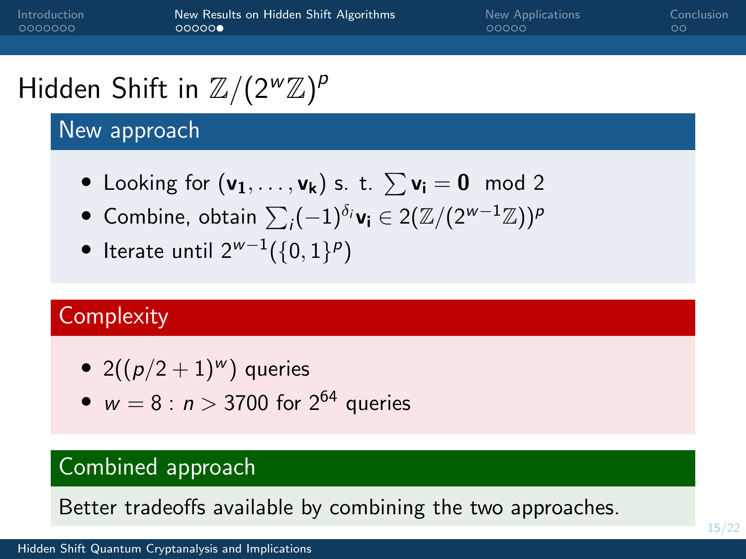[Introduction](#page-2-0) [New Results on Hidden Shift Algorithms](#page-14-0) [New Applications](#page-23-0) [Conclusion](#page-28-0)  $00000$ 

# Hidden Shift in  $\mathbb{Z}/(2^w\mathbb{Z})^p$

## New approach

- Looking for  $(v_1, \ldots, v_k)$  s. t.  $\sum v_i = 0 \mod 2$
- $\bullet$  Combine, obtain  $\sum_i (-1)^{\delta_i} \mathsf{v_i} \in 2(\mathbb{Z}/(2^{\mathsf{w}-1}\mathbb{Z}))^p$
- Iterate until 2 $^{\mathsf{w}-1}(\{0,1\}^p)$

# **Complexity**

- 2( $(p/2+1)$ <sup>w</sup>) queries
- $w = 8 : n > 3700$  for  $2^{64}$  queries

# Combined approach

Better tradeoffs available by combining the two approaches.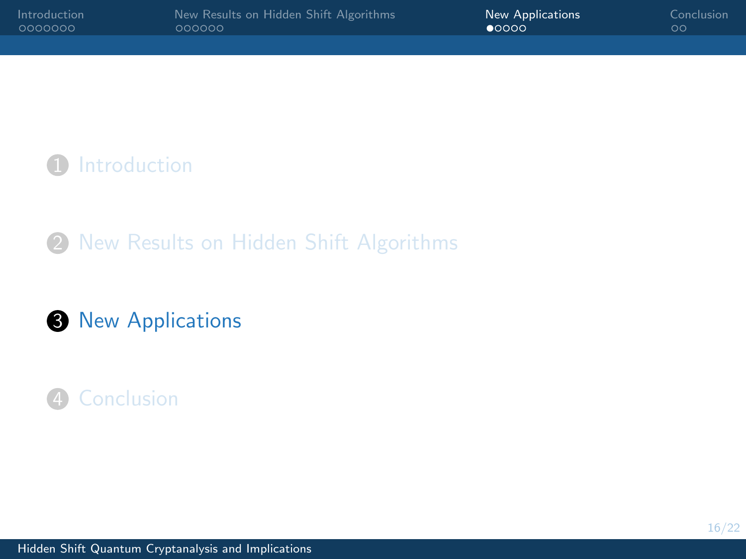<span id="page-23-0"></span>

| Introduction | New Results on Hidden Shift Algorithms | <b>New Applications</b> | Conclusion |
|--------------|----------------------------------------|-------------------------|------------|
| - റററററററ    | oooooo                                 | $\bullet$ 0000          | ററ         |
|              |                                        |                         |            |

**1** [Introduction](#page-2-0)

2 [New Results on Hidden Shift Algorithms](#page-14-0)

### **3** [New Applications](#page-23-0)

## 4 [Conclusion](#page-28-0)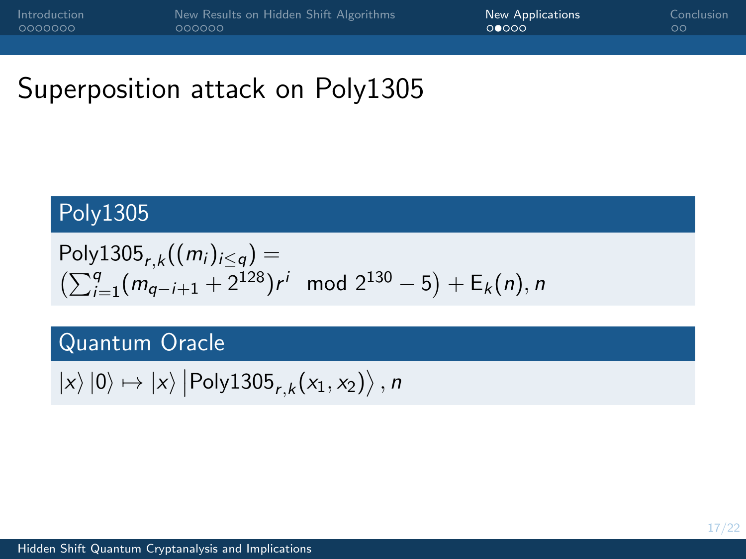# Superposition attack on Poly1305

### Poly1305

Poly1305<sub>r,k</sub>((*m<sub>i</sub>*)<sub>i≤q</sub>) =  
\n(
$$
\sum_{i=1}^{q} (m_{q-i+1} + 2^{128})r^i
$$
 mod  $2^{130} - 5$ ) + E<sub>k</sub>(*n*), *n*

### Quantum Oracle

 $\ket{\mathsf{x}}\ket{0} \mapsto \ket{\mathsf{x}}\ket{\mathsf{Poly}1305_{r,k}(x_1,x_2)},$  n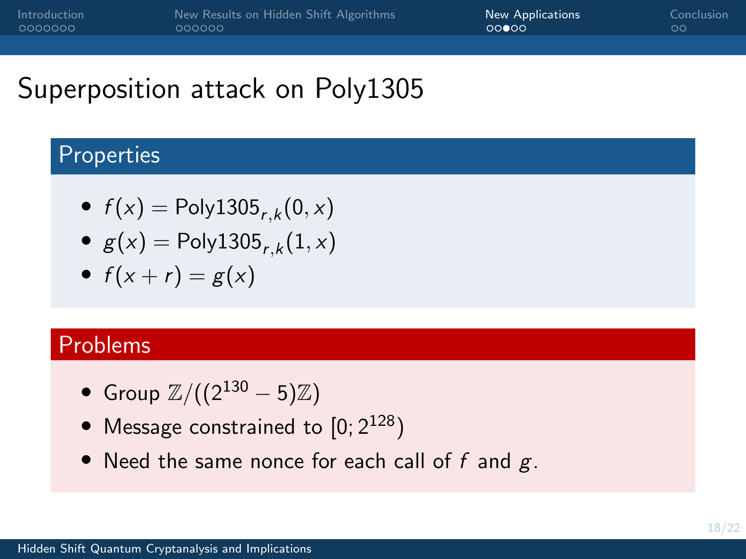# Superposition attack on Poly1305

### **Properties**

- $f(x) = \text{Poly1305}_{r,k}(0, x)$
- $g(x) = \text{Poly1305}_{r,k}(1, x)$
- $f(x + r) = g(x)$

### Problems

- Group  $\mathbb{Z}/((2^{130} 5)\mathbb{Z})$
- Message constrained to  $[0; 2^{128})$
- Need the same nonce for each call of  $f$  and  $g$ .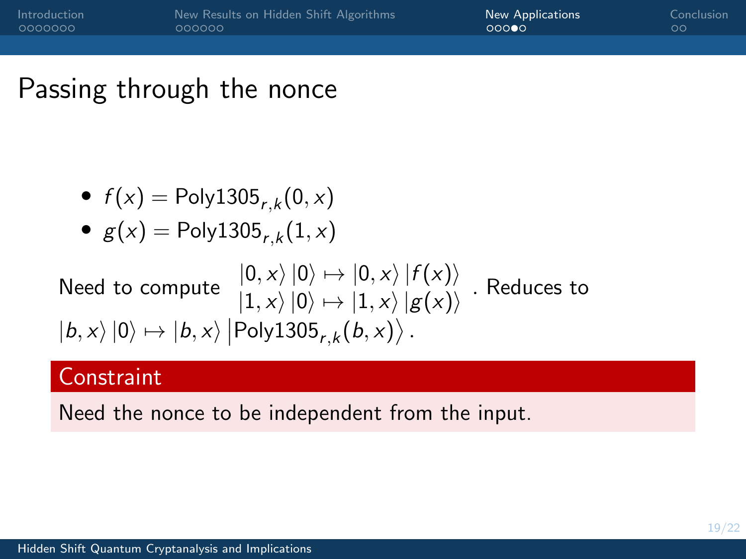# Passing through the nonce

• 
$$
f(x) = \text{Poly1305}_{r,k}(0,x)
$$

$$
\bullet \ \ g(x) = \text{Poly1305}_{r,k}(1,x)
$$

Need to compute 
$$
|0, x\rangle |0\rangle \mapsto |0, x\rangle |f(x)\rangle
$$
. Reduces to   
  $|1, x\rangle |0\rangle \mapsto |1, x\rangle |g(x)\rangle$ . Reduces to   
  $|b, x\rangle |0\rangle \mapsto |b, x\rangle |Poly1305r,k(b, x)\rangle$ .

### **Constraint**

Need the nonce to be independent from the input.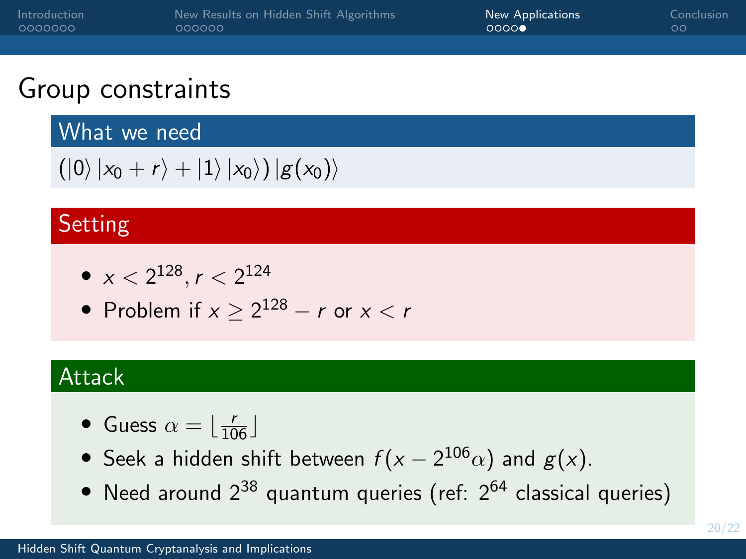| Introduction | New Results on Hidden Shift Algorithms | New Applications | Conclusion |
|--------------|----------------------------------------|------------------|------------|
| 0000000      | 000000                                 | 0000             | ಂ          |
|              |                                        |                  |            |

# Group constraints

What we need

```
(|0\rangle |x_0 + r\rangle + |1\rangle |x_0\rangle) |g(x_0)\rangle
```
# Setting

• 
$$
x < 2^{128}
$$
,  $r < 2^{124}$ 

• Problem if  $x \ge 2^{128} - r$  or  $x < r$ 

# **Attack**

- Guess  $\alpha = \lfloor \frac{r}{106} \rfloor$
- Seek a hidden shift between  $f(x 2^{106}\alpha)$  and  $g(x)$ .
- Need around  $2^{38}$  quantum queries (ref:  $2^{64}$  classical queries)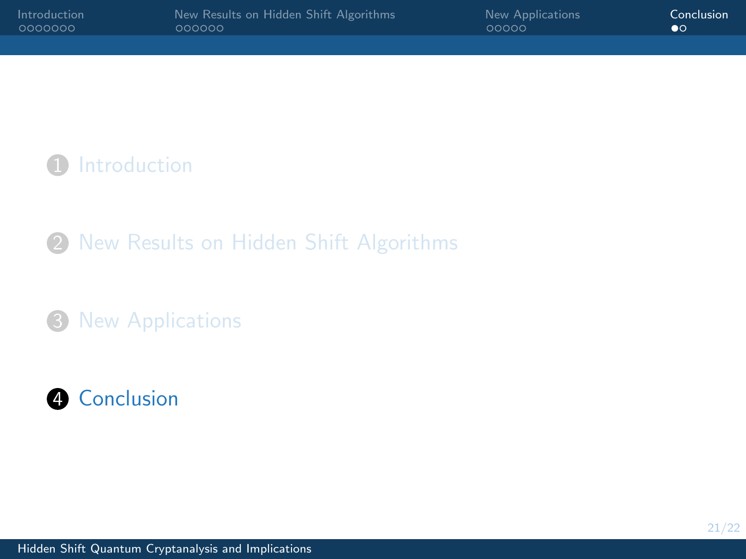<span id="page-28-0"></span>

| Introduction | New Results on Hidden Shift Algorithms | New Applications | Conclusion |
|--------------|----------------------------------------|------------------|------------|
|              | oooooo                                 | 00000            | $\bullet$  |
|              |                                        |                  |            |

**1** [Introduction](#page-2-0)

2 [New Results on Hidden Shift Algorithms](#page-14-0)

<sup>3</sup> [New Applications](#page-23-0)